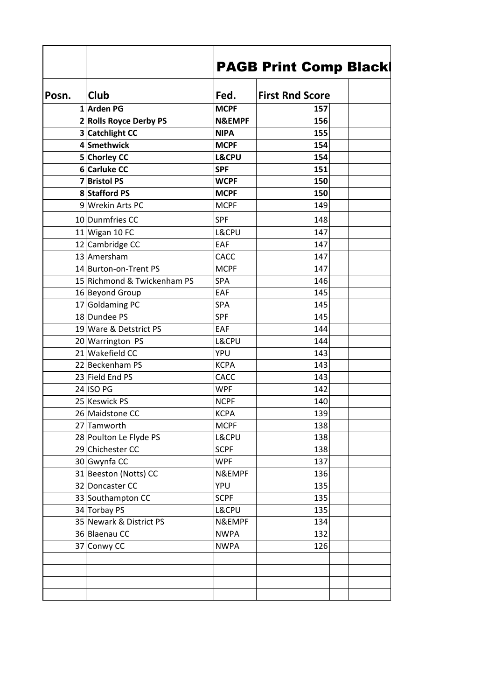|       |                             | <b>PAGB Print Comp Black</b> |                        |  |
|-------|-----------------------------|------------------------------|------------------------|--|
|       |                             |                              |                        |  |
| Posn. | <b>Club</b>                 | Fed.                         | <b>First Rnd Score</b> |  |
|       | 1 Arden PG                  | <b>MCPF</b>                  | 157                    |  |
|       | 2 Rolls Royce Derby PS      | <b>N&amp;EMPF</b>            | 156                    |  |
|       | 3 Catchlight CC             | <b>NIPA</b>                  | 155                    |  |
|       | 4 Smethwick                 | <b>MCPF</b>                  | 154                    |  |
|       | 5 Chorley CC                | <b>L&amp;CPU</b>             | 154                    |  |
|       | 6 Carluke CC                | <b>SPF</b>                   | 151                    |  |
|       | 7 Bristol PS                | <b>WCPF</b>                  | 150                    |  |
|       | 8 Stafford PS               | <b>MCPF</b>                  | 150                    |  |
|       | 9 Wrekin Arts PC            | <b>MCPF</b>                  | 149                    |  |
|       | 10 Dunmfries CC             | <b>SPF</b>                   | 148                    |  |
|       | $11$ Wigan 10 FC            | L&CPU                        | 147                    |  |
|       | 12 Cambridge CC             | EAF                          | 147                    |  |
|       | 13 Amersham                 | CACC                         | 147                    |  |
|       | 14 Burton-on-Trent PS       | <b>MCPF</b>                  | 147                    |  |
|       | 15 Richmond & Twickenham PS | SPA                          | 146                    |  |
|       | 16 Beyond Group             | EAF                          | 145                    |  |
|       | 17 Goldaming PC             | SPA                          | 145                    |  |
|       | 18 Dundee PS                | <b>SPF</b>                   | 145                    |  |
|       | 19 Ware & Detstrict PS      | EAF                          | 144                    |  |
|       | 20 Warrington PS            | L&CPU                        | 144                    |  |
|       | 21 Wakefield CC             | YPU                          | 143                    |  |
|       | 22 Beckenham PS             | <b>KCPA</b>                  | 143                    |  |
|       | 23 Field End PS             | CACC                         | 143                    |  |
|       | $24$ ISO PG                 | <b>WPF</b>                   | 142                    |  |
|       | 25 Keswick PS               | <b>NCPF</b>                  | 140                    |  |
|       | 26 Maidstone CC             | <b>KCPA</b>                  | 139                    |  |
|       | 27 Tamworth                 | <b>MCPF</b>                  | 138                    |  |
|       | 28 Poulton Le Flyde PS      | L&CPU                        | 138                    |  |
|       | 29 Chichester CC            | <b>SCPF</b>                  | 138                    |  |
|       | 30 Gwynfa CC                | <b>WPF</b>                   | 137                    |  |
|       | 31 Beeston (Notts) CC       | N&EMPF                       | 136                    |  |
|       | 32 Doncaster CC             | YPU                          | 135                    |  |
|       | 33 Southampton CC           | <b>SCPF</b>                  | 135                    |  |
|       | 34 Torbay PS                | L&CPU                        | 135                    |  |
|       | 35 Newark & District PS     | N&EMPF                       | 134                    |  |
|       | 36 Blaenau CC               | <b>NWPA</b>                  | 132                    |  |
|       | 37 Conwy CC                 | <b>NWPA</b>                  | 126                    |  |
|       |                             |                              |                        |  |
|       |                             |                              |                        |  |
|       |                             |                              |                        |  |
|       |                             |                              |                        |  |